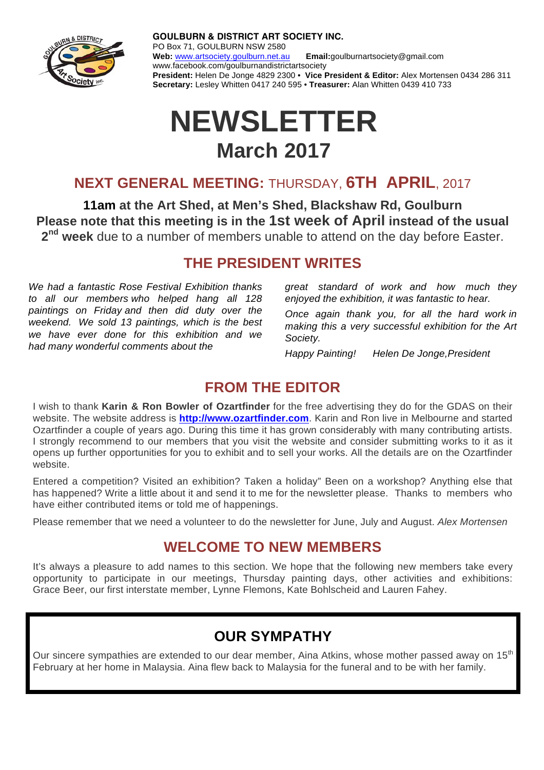

**GOULBURN & DISTRICT ART SOCIETY INC.** PO Box 71, GOULBURN NSW 2580 **Web:** www.artsociety.goulburn.net.au **Email:**goulburnartsociety@gmail.com www.facebook.com/goulburnandistrictartsociety **President:** Helen De Jonge 4829 2300 • **Vice President & Editor:** Alex Mortensen 0434 286 311 **Secretary:** Lesley Whitten 0417 240 595 • **Treasurer:** Alan Whitten 0439 410 733

# **NEWSLETTER March 2017**

## **NEXT GENERAL MEETING:** THURSDAY, **6TH APRIL**, 2017

**11am at the Art Shed, at Men's Shed, Blackshaw Rd, Goulburn Please note that this meeting is in the 1st week of April instead of the usual 2nd week** due to a number of members unable to attend on the day before Easter.

#### **THE PRESIDENT WRITES**

*We had a fantastic Rose Festival Exhibition thanks to all our members who helped hang all 128 paintings on Friday and then did duty over the weekend. We sold 13 paintings, which is the best we have ever done for this exhibition and we had many wonderful comments about the* 

 *great standard of work and how much they enjoyed the exhibition, it was fantastic to hear.* 

*Once again thank you, for all the hard work in making this a very successful exhibition for the Art Society.* 

*Happy Painting! Helen De Jonge,President* 

#### **FROM THE EDITOR**

I wish to thank **Karin & Ron Bowler of Ozartfinder** for the free advertising they do for the GDAS on their website. The website address is **http://www.ozartfinder.com**. Karin and Ron live in Melbourne and started Ozartfinder a couple of years ago. During this time it has grown considerably with many contributing artists. I strongly recommend to our members that you visit the website and consider submitting works to it as it opens up further opportunities for you to exhibit and to sell your works. All the details are on the Ozartfinder website.

Entered a competition? Visited an exhibition? Taken a holiday" Been on a workshop? Anything else that has happened? Write a little about it and send it to me for the newsletter please. Thanks to members who have either contributed items or told me of happenings.

Please remember that we need a volunteer to do the newsletter for June, July and August. *Alex Mortensen* 

## **WELCOME TO NEW MEMBERS**

It's always a pleasure to add names to this section. We hope that the following new members take every opportunity to participate in our meetings, Thursday painting days, other activities and exhibitions: Grace Beer, our first interstate member, Lynne Flemons, Kate Bohlscheid and Lauren Fahey.

# **OUR SYMPATHY**

Our sincere sympathies are extended to our dear member. Aina Atkins, whose mother passed away on 15<sup>th</sup> February at her home in Malaysia. Aina flew back to Malaysia for the funeral and to be with her family.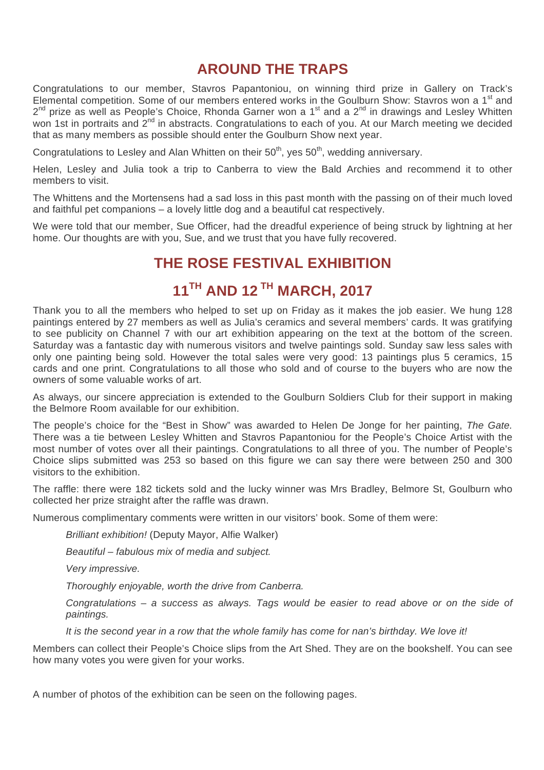## **AROUND THE TRAPS**

Congratulations to our member, Stavros Papantoniou, on winning third prize in Gallery on Track's Elemental competition. Some of our members entered works in the Goulburn Show: Stavros won a 1<sup>st</sup> and  $2^{nd}$  prize as well as People's Choice, Rhonda Garner won a 1<sup>st</sup> and a  $2^{nd}$  in drawings and Lesley Whitten won 1st in portraits and 2<sup>nd</sup> in abstracts. Congratulations to each of you. At our March meeting we decided that as many members as possible should enter the Goulburn Show next year.

Congratulations to Lesley and Alan Whitten on their  $50<sup>th</sup>$ , ves  $50<sup>th</sup>$ , wedding anniversary.

Helen, Lesley and Julia took a trip to Canberra to view the Bald Archies and recommend it to other members to visit.

The Whittens and the Mortensens had a sad loss in this past month with the passing on of their much loved and faithful pet companions – a lovely little dog and a beautiful cat respectively.

We were told that our member, Sue Officer, had the dreadful experience of being struck by lightning at her home. Our thoughts are with you, Sue, and we trust that you have fully recovered.

### **THE ROSE FESTIVAL EXHIBITION**

# **11TH AND 12 TH MARCH, 2017**

Thank you to all the members who helped to set up on Friday as it makes the job easier. We hung 128 paintings entered by 27 members as well as Julia's ceramics and several members' cards. It was gratifying to see publicity on Channel 7 with our art exhibition appearing on the text at the bottom of the screen. Saturday was a fantastic day with numerous visitors and twelve paintings sold. Sunday saw less sales with only one painting being sold. However the total sales were very good: 13 paintings plus 5 ceramics, 15 cards and one print. Congratulations to all those who sold and of course to the buyers who are now the owners of some valuable works of art.

As always, our sincere appreciation is extended to the Goulburn Soldiers Club for their support in making the Belmore Room available for our exhibition.

The people's choice for the "Best in Show" was awarded to Helen De Jonge for her painting, *The Gate.* There was a tie between Lesley Whitten and Stavros Papantoniou for the People's Choice Artist with the most number of votes over all their paintings. Congratulations to all three of you. The number of People's Choice slips submitted was 253 so based on this figure we can say there were between 250 and 300 visitors to the exhibition.

The raffle: there were 182 tickets sold and the lucky winner was Mrs Bradley, Belmore St, Goulburn who collected her prize straight after the raffle was drawn.

Numerous complimentary comments were written in our visitors' book. Some of them were:

*Brilliant exhibition!* (Deputy Mayor, Alfie Walker)

*Beautiful – fabulous mix of media and subject.* 

*Very impressive.* 

*Thoroughly enjoyable, worth the drive from Canberra.* 

*Congratulations – a success as always. Tags would be easier to read above or on the side of paintings.* 

*It is the second year in a row that the whole family has come for nan's birthday. We love it!*

Members can collect their People's Choice slips from the Art Shed. They are on the bookshelf. You can see how many votes you were given for your works.

A number of photos of the exhibition can be seen on the following pages.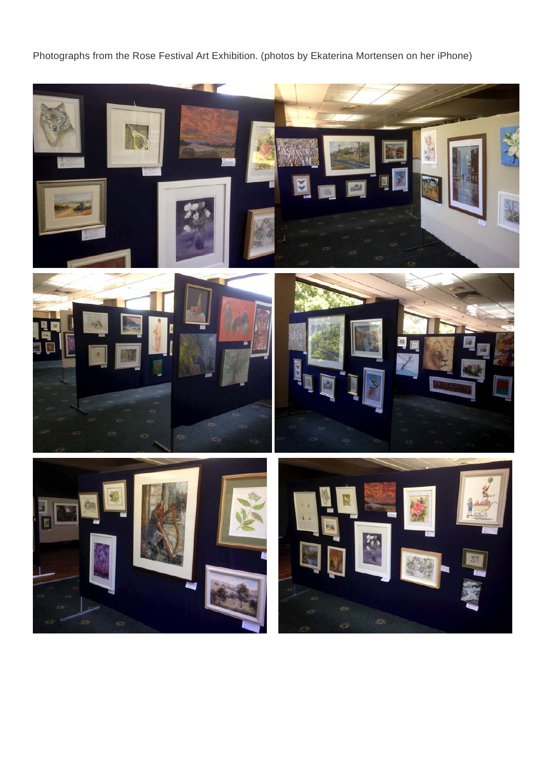Photographs from the Rose Festival Art Exhibition. (photos by Ekaterina Mortensen on her iPhone)





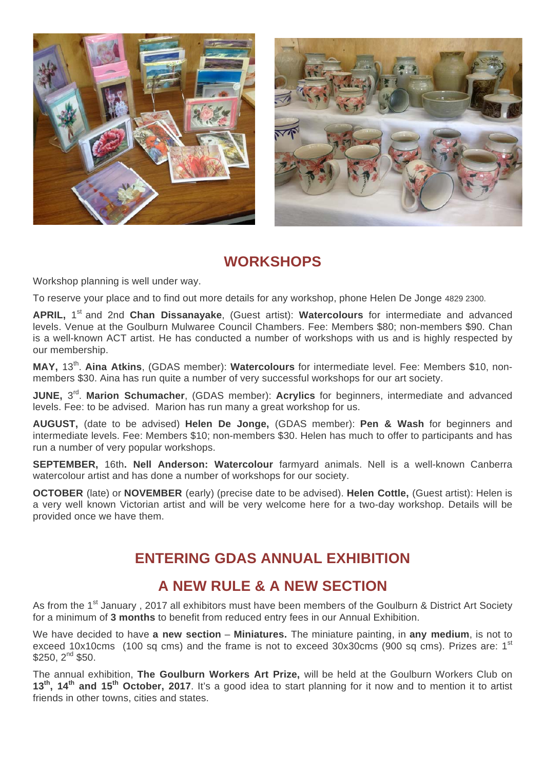



## **WORKSHOPS**

Workshop planning is well under way.

To reserve your place and to find out more details for any workshop, phone Helen De Jonge 4829 2300.

APRIL, 1<sup>st</sup> and 2nd Chan Dissanayake, (Guest artist): Watercolours for intermediate and advanced levels. Venue at the Goulburn Mulwaree Council Chambers. Fee: Members \$80; non-members \$90. Chan is a well-known ACT artist. He has conducted a number of workshops with us and is highly respected by our membership.

**MAY,** 13th. **Aina Atkins**, (GDAS member): **Watercolours** for intermediate level. Fee: Members \$10, nonmembers \$30. Aina has run quite a number of very successful workshops for our art society.

**JUNE, 3<sup>rd</sup>. Marion Schumacher**, (GDAS member): **Acrylics** for beginners, intermediate and advanced levels. Fee: to be advised. Marion has run many a great workshop for us.

**AUGUST,** (date to be advised) **Helen De Jonge,** (GDAS member): **Pen & Wash** for beginners and intermediate levels. Fee: Members \$10; non-members \$30. Helen has much to offer to participants and has run a number of very popular workshops.

**SEPTEMBER,** 16th**. Nell Anderson: Watercolour** farmyard animals. Nell is a well-known Canberra watercolour artist and has done a number of workshops for our society.

**OCTOBER** (late) or **NOVEMBER** (early) (precise date to be advised). **Helen Cottle,** (Guest artist): Helen is a very well known Victorian artist and will be very welcome here for a two-day workshop. Details will be provided once we have them.

## **ENTERING GDAS ANNUAL EXHIBITION**

#### **A NEW RULE & A NEW SECTION**

As from the 1<sup>st</sup> January, 2017 all exhibitors must have been members of the Goulburn & District Art Society for a minimum of **3 months** to benefit from reduced entry fees in our Annual Exhibition.

We have decided to have **a new section** – **Miniatures.** The miniature painting, in **any medium**, is not to exceed 10x10cms (100 sq cms) and the frame is not to exceed 30x30cms (900 sq cms). Prizes are: 1<sup>st</sup>  $$250, 2<sup>nd</sup> $50.$ 

The annual exhibition, **The Goulburn Workers Art Prize,** will be held at the Goulburn Workers Club on **13th, 14th and 15th October, 2017**. It's a good idea to start planning for it now and to mention it to artist friends in other towns, cities and states.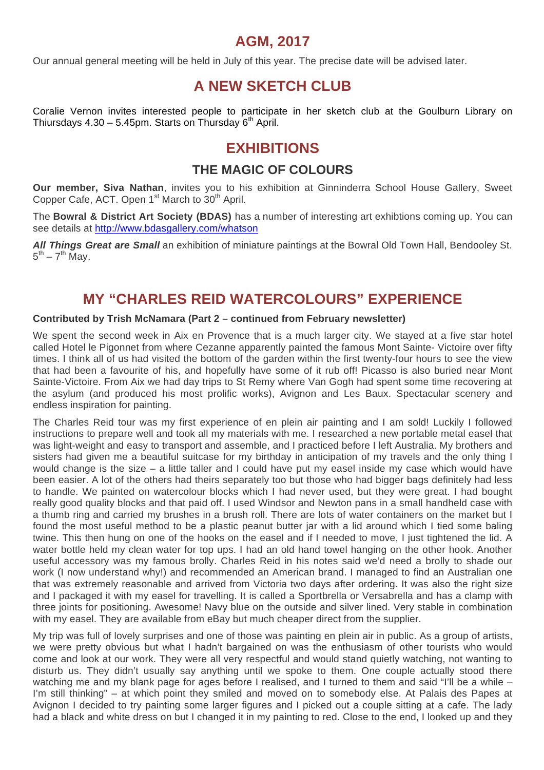#### **AGM, 2017**

Our annual general meeting will be held in July of this year. The precise date will be advised later.

## **A NEW SKETCH CLUB**

Coralie Vernon invites interested people to participate in her sketch club at the Goulburn Library on Thiursdays  $4.30 - 5.45$ pm. Starts on Thursday 6<sup>th</sup> April.

### **EXHIBITIONS**

#### **THE MAGIC OF COLOURS**

**Our member, Siva Nathan**, invites you to his exhibition at Ginninderra School House Gallery, Sweet Copper Cafe, ACT. Open 1<sup>st</sup> March to 30<sup>th</sup> April.

The **Bowral & District Art Society (BDAS)** has a number of interesting art exhibtions coming up. You can see details at http://www.bdasgallery.com/whatson

*All Things Great are Small* an exhibition of miniature paintings at the Bowral Old Town Hall, Bendooley St.  $5^{th}$  –  $7^{th}$  May.

### **MY "CHARLES REID WATERCOLOURS" EXPERIENCE**

#### **Contributed by Trish McNamara (Part 2 – continued from February newsletter)**

We spent the second week in Aix en Provence that is a much larger city. We stayed at a five star hotel called Hotel le Pigonnet from where Cezanne apparently painted the famous Mont Sainte- Victoire over fifty times. I think all of us had visited the bottom of the garden within the first twenty-four hours to see the view that had been a favourite of his, and hopefully have some of it rub off! Picasso is also buried near Mont Sainte-Victoire. From Aix we had day trips to St Remy where Van Gogh had spent some time recovering at the asylum (and produced his most prolific works), Avignon and Les Baux. Spectacular scenery and endless inspiration for painting.

The Charles Reid tour was my first experience of en plein air painting and I am sold! Luckily I followed instructions to prepare well and took all my materials with me. I researched a new portable metal easel that was light-weight and easy to transport and assemble, and I practiced before I left Australia. My brothers and sisters had given me a beautiful suitcase for my birthday in anticipation of my travels and the only thing I would change is the size – a little taller and I could have put my easel inside my case which would have been easier. A lot of the others had theirs separately too but those who had bigger bags definitely had less to handle. We painted on watercolour blocks which I had never used, but they were great. I had bought really good quality blocks and that paid off. I used Windsor and Newton pans in a small handheld case with a thumb ring and carried my brushes in a brush roll. There are lots of water containers on the market but I found the most useful method to be a plastic peanut butter jar with a lid around which I tied some baling twine. This then hung on one of the hooks on the easel and if I needed to move. I just tightened the lid. A water bottle held my clean water for top ups. I had an old hand towel hanging on the other hook. Another useful accessory was my famous brolly. Charles Reid in his notes said we'd need a brolly to shade our work (I now understand why!) and recommended an American brand. I managed to find an Australian one that was extremely reasonable and arrived from Victoria two days after ordering. It was also the right size and I packaged it with my easel for travelling. It is called a Sportbrella or Versabrella and has a clamp with three joints for positioning. Awesome! Navy blue on the outside and silver lined. Very stable in combination with my easel. They are available from eBay but much cheaper direct from the supplier.

My trip was full of lovely surprises and one of those was painting en plein air in public. As a group of artists, we were pretty obvious but what I hadn't bargained on was the enthusiasm of other tourists who would come and look at our work. They were all very respectful and would stand quietly watching, not wanting to disturb us. They didn't usually say anything until we spoke to them. One couple actually stood there watching me and my blank page for ages before I realised, and I turned to them and said "I'll be a while – I'm still thinking" – at which point they smiled and moved on to somebody else. At Palais des Papes at Avignon I decided to try painting some larger figures and I picked out a couple sitting at a cafe. The lady had a black and white dress on but I changed it in my painting to red. Close to the end, I looked up and they